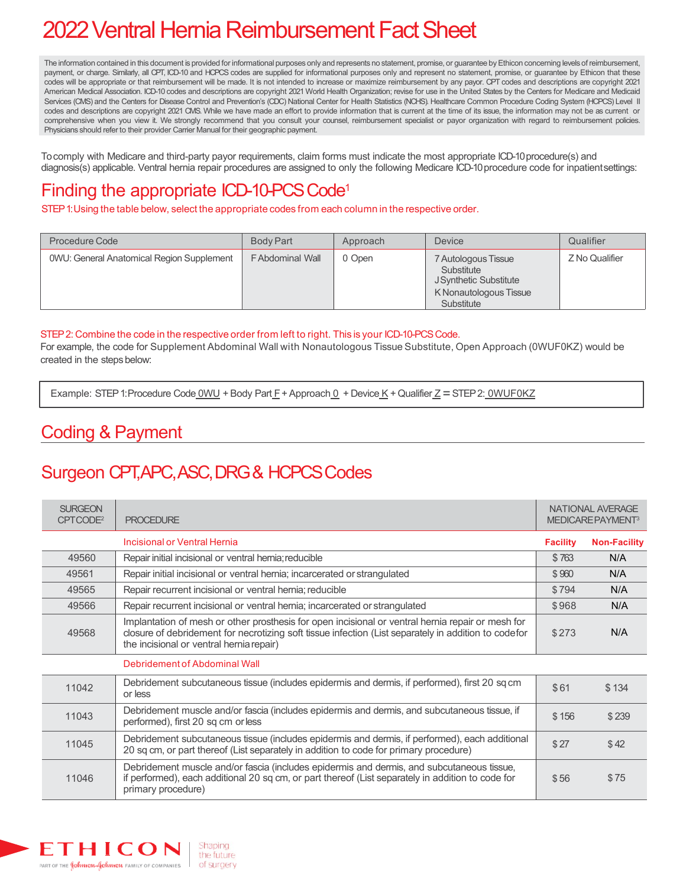# 2022 Ventral Hernia Reimbursement Fact Sheet

The information contained in this document is provided for informational purposes only and represents no statement, promise, or guarantee by Ethicon concerning levels of reimbursement, payment, or charge. Similarly, all CPT, ICD-10 and HCPCS codes are supplied for informational purposes only and represent no statement, promise, or guarantee by Ethicon that these codes will be appropriate or that reimbursement will be made. It is not intended to increase or maximize reimbursement by any payor. CPT codes and descriptions are copyright 2021 American Medical Association. ICD-10 codes and descriptions are copyright 2021 World Health Organization; revise for use in the United States by the Centers for Medicare and Medicaid Services (CMS) and the Centers for Disease Control and Prevention's (CDC) National Center for Health Statistics (NCHS). Healthcare Common Procedure Coding System (HCPCS) Level II codes and descriptions are copyright 2021 CMS. While we have made an effort to provide information that is current at the time of its issue, the information may not be as current or comprehensive when you view it. We strongly recommend that you consult your counsel, reimbursement specialist or payor organization with regard to reimbursement policies. Physicians should refer to their provider Carrier Manual for their geographic payment.

To comply with Medicare and third-party payor requirements, claim forms must indicate the most appropriate ICD-10 procedure(s) and diagnosis(s) applicable. Ventral hernia repair procedures are assigned to only the following Medicare ICD-10 procedure code for inpatientsettings:

### Finding the appropriate ICD-10-PCS Code<sup>1</sup>

STEP1:Using the table below, select the appropriate codes from each column in the respective order.

| <b>Procedure Code</b>                            | <b>Body Part</b>       | Approach | <b>Device</b>                                                                                       | Qualifier      |
|--------------------------------------------------|------------------------|----------|-----------------------------------------------------------------------------------------------------|----------------|
| <b>OWU: General Anatomical Region Supplement</b> | <b>FAbdominal Wall</b> | 0 Open   | 7 Autologous Tissue<br>Substitute<br>J Synthetic Substitute<br>K Nonautologous Tissue<br>Substitute | Z No Qualifier |

#### STEP2: Combine the code in the respective order from left to right. This is your ICD-10-PCSCode.

For example, the code for Supplement Abdominal Wall with Nonautologous Tissue Substitute, Open Approach (0WUF0KZ) would be created in the steps below:

Example: STEP 1: Procedure Code  $\underline{OWU}$  + Body Part  $\underline{F}$  + Approach  $\underline{0}$  + Device  $\underline{K}$  + Qualifier  $\underline{Z}$  = STEP 2:  $\underline{OWUFOKZ}$ 

#### Coding & Payment

### Surgeon CPT, APC, ASC, DRG & HCPCS Codes

| <b>SURGEON</b><br>CPTCODE <sup>2</sup> | <b>PROCEDURE</b>                                                                                                                                                                                                                                      |                 | NATIONAL AVERAGE<br>MEDICARE PAYMENT <sup>3</sup> |  |
|----------------------------------------|-------------------------------------------------------------------------------------------------------------------------------------------------------------------------------------------------------------------------------------------------------|-----------------|---------------------------------------------------|--|
|                                        | Incisional or Ventral Hernia                                                                                                                                                                                                                          | <b>Facility</b> | <b>Non-Facility</b>                               |  |
| 49560                                  | Repair initial incisional or ventral hemia; reducible                                                                                                                                                                                                 | \$763           | N/A                                               |  |
| 49561                                  | Repair initial incisional or ventral hernia; incarcerated or strangulated                                                                                                                                                                             | \$960           | N/A                                               |  |
| 49565                                  | Repair recurrent incisional or ventral hernia; reducible                                                                                                                                                                                              | \$794           | N/A                                               |  |
| 49566                                  | Repair recurrent incisional or ventral hernia; incarcerated or strangulated                                                                                                                                                                           | \$968           | N/A                                               |  |
| 49568                                  | Implantation of mesh or other prosthesis for open incisional or ventral hernia repair or mesh for<br>closure of debridement for necrotizing soft tissue infection (List separately in addition to codefor<br>the incisional or ventral hernia repair) | \$273           | N/A                                               |  |
|                                        | Debridement of Abdominal Wall                                                                                                                                                                                                                         |                 |                                                   |  |
| 11042                                  | Debridement subcutaneous tissue (includes epidermis and dermis, if performed), first 20 sq cm<br>or less                                                                                                                                              | \$61            | \$134                                             |  |
| 11043                                  | Debridement muscle and/or fascia (includes epidermis and dermis, and subcutaneous tissue, if<br>performed), first 20 sq cm or less                                                                                                                    | \$156           | \$239                                             |  |
| 11045                                  | Debridement subcutaneous tissue (includes epidermis and dermis, if performed), each additional<br>20 sq cm, or part thereof (List separately in addition to code for primary procedure)                                                               | \$27            | \$42                                              |  |
| 11046                                  | Debridement muscle and/or fascia (includes epidermis and dermis, and subcutaneous tissue,<br>if performed), each additional 20 sq cm, or part thereof (List separately in addition to code for<br>primary procedure)                                  | \$56            | \$75                                              |  |

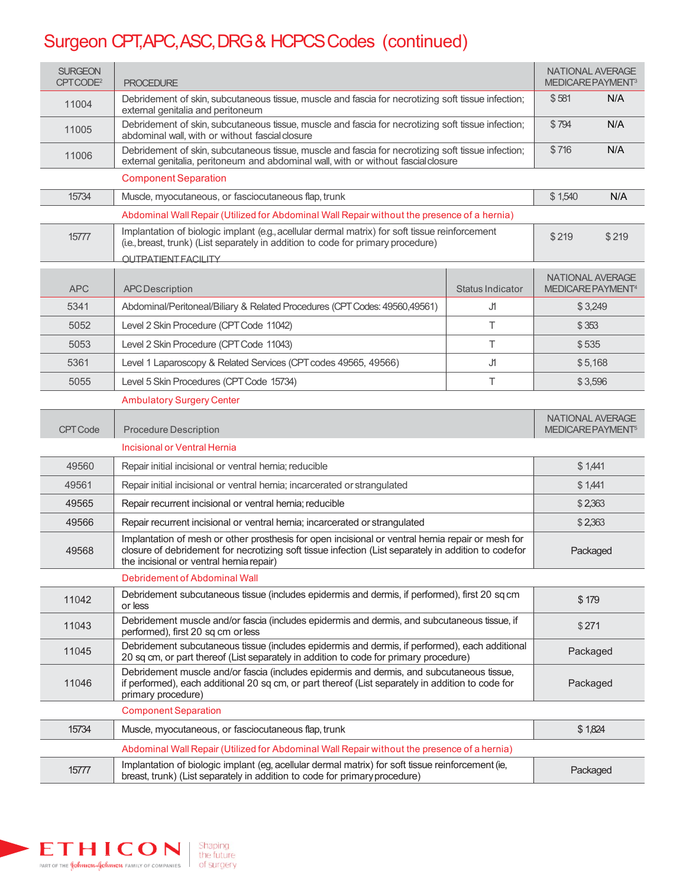## Surgeon CPT, APC, ASC, DRG & HCPCS Codes (continued)

| <b>SURGEON</b><br>CPTCODE <sup>2</sup> | <b>PROCEDURE</b>                                                                                                                                                                                                                                      |                  | <b>NATIONAL AVERAGE</b><br>MEDICARE PAYMENT <sup>3</sup> |         |
|----------------------------------------|-------------------------------------------------------------------------------------------------------------------------------------------------------------------------------------------------------------------------------------------------------|------------------|----------------------------------------------------------|---------|
| 11004                                  | Debridement of skin, subcutaneous tissue, muscle and fascia for necrotizing soft tissue infection;<br>external genitalia and peritoneum                                                                                                               |                  |                                                          | N/A     |
| 11005                                  | Debridement of skin, subcutaneous tissue, muscle and fascia for necrotizing soft tissue infection;<br>abdominal wall, with or without fascial closure                                                                                                 |                  |                                                          | N/A     |
| 11006                                  | Debridement of skin, subcutaneous tissue, muscle and fascia for necrotizing soft tissue infection;<br>external genitalia, peritoneum and abdominal wall, with or without fascial closure                                                              |                  |                                                          | N/A     |
|                                        | <b>Component Separation</b>                                                                                                                                                                                                                           |                  |                                                          |         |
| 15734                                  | Muscle, myocutaneous, or fasciocutaneous flap, trunk                                                                                                                                                                                                  |                  |                                                          | N/A     |
|                                        | Abdominal Wall Repair (Utilized for Abdominal Wall Repair without the presence of a hernia)                                                                                                                                                           |                  |                                                          |         |
| 15777                                  | Implantation of biologic implant (e.g., acellular dermal matrix) for soft tissue reinforcement<br>(i.e., breast, trunk) (List separately in addition to code for primary procedure)<br><b>OUTPATIENT FACILITY</b>                                     |                  | \$219                                                    | \$219   |
|                                        |                                                                                                                                                                                                                                                       |                  | <b>NATIONAL AVERAGE</b>                                  |         |
| <b>APC</b>                             | <b>APC</b> Description                                                                                                                                                                                                                                | Status Indicator | MEDICARE PAYMENT <sup>4</sup>                            |         |
| 5341                                   | Abdominal/Peritoneal/Biliary & Related Procedures (CPT Codes: 49560,49561)                                                                                                                                                                            | J۱               | \$3,249                                                  |         |
| 5052                                   | Level 2 Skin Procedure (CPT Code 11042)                                                                                                                                                                                                               | Τ                | \$353                                                    |         |
| 5053                                   | Level 2 Skin Procedure (CPT Code 11043)                                                                                                                                                                                                               | Τ                | \$535                                                    |         |
| 5361                                   | Level 1 Laparoscopy & Related Services (CPT codes 49565, 49566)                                                                                                                                                                                       | J۱               | \$5,168                                                  |         |
| 5055                                   | Level 5 Skin Procedures (CPT Code 15734)                                                                                                                                                                                                              | Τ                | \$3,596                                                  |         |
|                                        | <b>Ambulatory Surgery Center</b>                                                                                                                                                                                                                      |                  |                                                          |         |
| <b>CPT Code</b>                        | <b>Procedure Description</b>                                                                                                                                                                                                                          |                  | <b>NATIONAL AVERAGE</b><br>MEDICARE PAYMENT <sup>5</sup> |         |
|                                        | Incisional or Ventral Hernia                                                                                                                                                                                                                          |                  |                                                          |         |
| 49560                                  | Repair initial incisional or ventral hernia; reducible                                                                                                                                                                                                |                  |                                                          | \$1,441 |
| 49561                                  | Repair initial incisional or ventral hernia; incarcerated or strangulated                                                                                                                                                                             |                  | \$1,441                                                  |         |
| 49565                                  | Repair recurrent incisional or ventral hernia; reducible                                                                                                                                                                                              |                  | \$2,363                                                  |         |
| 49566                                  | Repair recurrent incisional or ventral hernia; incarcerated or strangulated                                                                                                                                                                           |                  |                                                          | \$2,363 |
| 49568                                  | Implantation of mesh or other prosthesis for open incisional or ventral hernia repair or mesh for<br>closure of debridement for necrotizing soft tissue infection (List separately in addition to codefor<br>the incisional or ventral hernia repair) |                  | Packaged                                                 |         |
|                                        | Debridement of Abdominal Wall                                                                                                                                                                                                                         |                  |                                                          |         |
| 11042                                  | Debridement subcutaneous tissue (includes epidermis and dermis, if performed), first 20 sq cm<br>\$179<br>or less                                                                                                                                     |                  |                                                          |         |
| 11043                                  | Debridement muscle and/or fascia (includes epidermis and dermis, and subcutaneous tissue, if<br>performed), first 20 sq cm or less                                                                                                                    |                  | \$271                                                    |         |
| 11045                                  | Debridement subcutaneous tissue (includes epidermis and dermis, if performed), each additional<br>20 sq cm, or part thereof (List separately in addition to code for primary procedure)                                                               |                  | Packaged                                                 |         |
| 11046                                  | Debridement muscle and/or fascia (includes epidermis and dermis, and subcutaneous tissue,<br>if performed), each additional 20 sq cm, or part thereof (List separately in addition to code for<br>Packaged<br>primary procedure)                      |                  |                                                          |         |
|                                        | <b>Component Separation</b>                                                                                                                                                                                                                           |                  |                                                          |         |
| 15734                                  | \$1,824<br>Muscle, myocutaneous, or fasciocutaneous flap, trunk                                                                                                                                                                                       |                  |                                                          |         |
|                                        | Abdominal Wall Repair (Utilized for Abdominal Wall Repair without the presence of a hernia)                                                                                                                                                           |                  |                                                          |         |
| 15777                                  | Implantation of biologic implant (eg, acellular dermal matrix) for soft tissue reinforcement (ie,<br>Packaged<br>breast, trunk) (List separately in addition to code for primary procedure)                                                           |                  |                                                          |         |